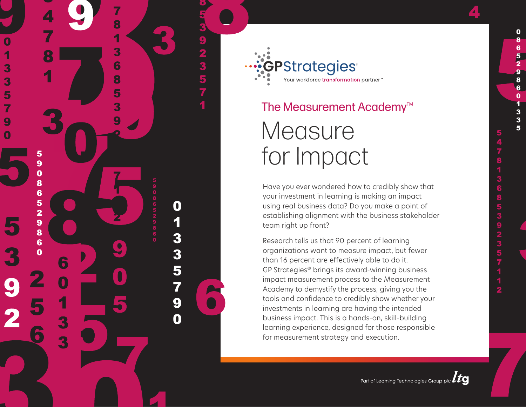

8

3

6

5

3

3

5

7

9

5  $\overline{9}$  $\overline{\mathbf{0}}$ 8 6

5

 $\overline{\mathbf{2}}$ 9

8

 $6\phantom{1}6$  $\overline{0}$ 

6

3

92357

O

1

3

3

5

7

9

 $\overline{\mathbf{0}}$ 

# The Measurement Academy<sup>™</sup> **Measure** for Impact

Have you ever wondered how to credibly show that your investment in learning is making an impact using real business data? Do you make a point of establishing alignment with the business stakeholder team right up front?

Research tells us that 90 percent of learning organizations want to measure impact, but fewer than 16 percent are effectively able to do it. GP Strategies® brings its award-winning business impact measurement process to the Measurement Academy to demystify the process, giving you the tools and confidence to credibly show whether your investments in learning are having the intended business impact. This is a hands-on, skill-building learning experience, designed for those responsible for measurement strategy and execution.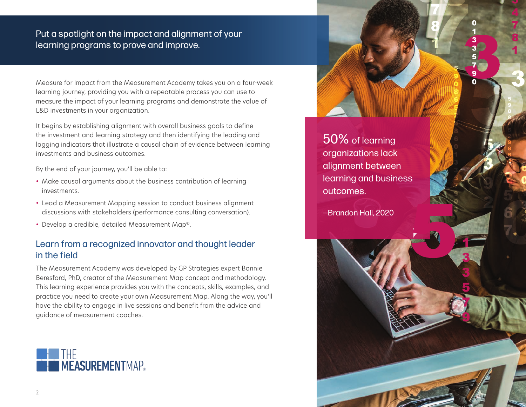## Put a spotlight on the impact and alignment of your learning programs to prove and improve.

Measure for Impact from the Measurement Academy takes you on a four-week learning journey, providing you with a repeatable process you can use to measure the impact of your learning programs and demonstrate the value of L&D investments in your organization.

It begins by establishing alignment with overall business goals to define the investment and learning strategy and then identifying the leading and lagging indicators that illustrate a causal chain of evidence between learning investments and business outcomes.

By the end of your journey, you'll be able to:

- Make causal arguments about the business contribution of learning investments.
- Lead a Measurement Mapping session to conduct business alignment discussions with stakeholders (performance consulting conversation).
- Develop a credible, detailed Measurement Map®.

## Learn from a recognized innovator and thought leader in the field

The Measurement Academy was developed by GP Strategies expert Bonnie Beresford, PhD, creator of the Measurement Map concept and methodology. This learning experience provides you with the concepts, skills, examples, and practice you need to create your own Measurement Map. Along the way, you'll have the ability to engage in live sessions and benefit from the advice and guidance of measurement coaches.



50% of learning organizations lack alignment between learning and business outcomes.

—Brandon Hall, 2020

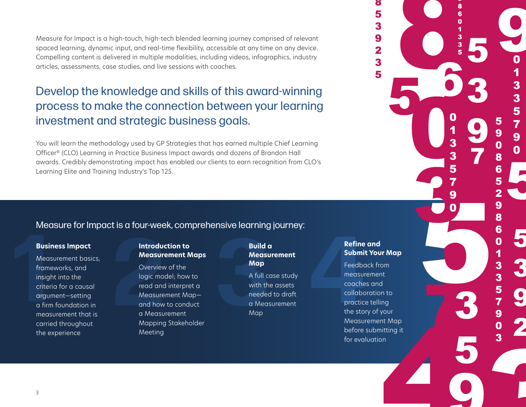Measure for Impact is a high-touch, high-tech blended learning journey comprised of relevant spaced learning, dynamic input, and real-time flexibility, accessible at any time on any device. Compelling content is delivered in multiple modalities, including videos, infographics, industry articles, assessments, case studies, and live sessions with coaches.

# Develop the knowledge and skills of this award-winning process to make the connection between your learning investment and strategic business goals.

You will learn the methodology used by GP Strategies that has earned multiple Chief Learning Officer® (CLO) Learning in Practice Business Impact awards and dozens of Brandon Hall awards. Credibly demonstrating impact has enabled our clients to earn recognition from CLO's Learning Elite and Training Industry's Top 125.

### Measure for Impact is a four-week, comprehensive learning journey:

#### **Business Impact**

Measurement basics, frameworks, and insight into the criteria for a causal argument—setting a firm foundation in measurement that is carried throughout the experience **1 2 3 4 Build a** 

#### **Introduction to Measurement Maps**

Overview of the logic model; how to read and interpret a Measurement Map and how to conduct a Measurement Mapping Stakeholder Meeting

# **Measurement Map**

A full case study with the assets needed to draft a Measurement Map

#### **Refine and Submit Your Map**

> 3 5

> 7

9  $\overline{\mathbf{0}}$ 

5

8 6

3 3

Feedback from measurement coaches and collaboration to practice telling the story of your Measurement Map before submitting it for evaluation